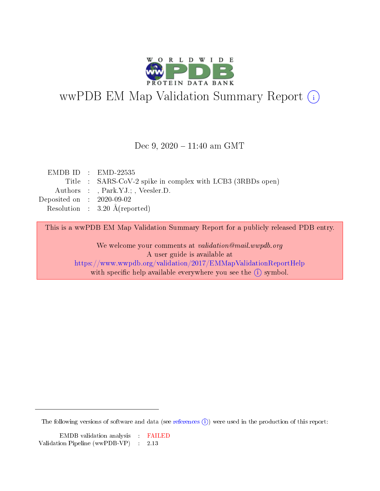

## wwPDB EM Map Validation Summary Report (i)

Dec 9,  $2020 - 11:40$  am GMT

|                             | $EMDBID : EMD-22535$                                       |
|-----------------------------|------------------------------------------------------------|
|                             | Title : SARS-CoV-2 spike in complex with LCB3 (3RBDs open) |
|                             | Authors : , Park.YJ.; , Veesler.D.                         |
| Deposited on : $2020-09-02$ |                                                            |
|                             | Resolution : $3.20 \text{ Å}$ (reported)                   |
|                             |                                                            |

This is a wwPDB EM Map Validation Summary Report for a publicly released PDB entry.

We welcome your comments at validation@mail.wwpdb.org A user guide is available at <https://www.wwpdb.org/validation/2017/EMMapValidationReportHelp> with specific help available everywhere you see the  $(i)$  symbol.

The following versions of software and data (see [references](https://www.wwpdb.org/validation/2017/EMMapValidationReportHelp)  $(1)$ ) were used in the production of this report: